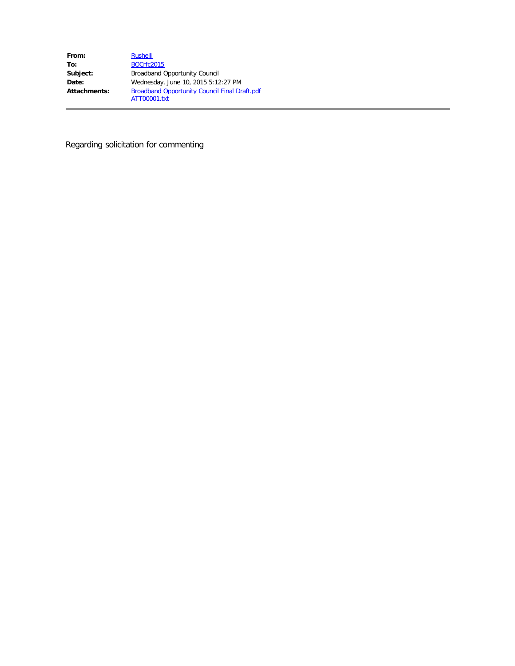| From:        | <b>Rushelli</b>                                      |
|--------------|------------------------------------------------------|
| To:          | <b>BOCrfc2015</b>                                    |
| Subject:     | <b>Broadband Opportunity Council</b>                 |
| Date:        | Wednesday, June 10, 2015 5:12:27 PM                  |
| Attachments: | <b>Broadband Opportunity Council Final Draft.pdf</b> |
|              | ATT00001.txt                                         |

Regarding solicitation for commenting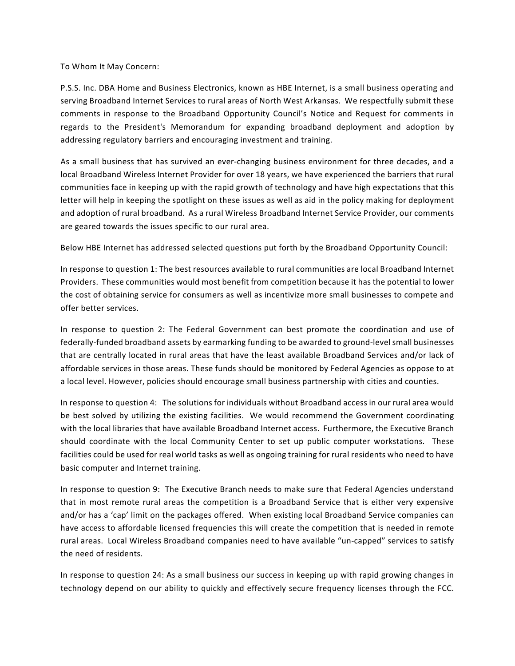To Whom It May Concern:

P.S.S. Inc. DBA Home and Business Electronics, known as HBE Internet, is a small business operating and serving Broadband Internet Services to rural areas of North West Arkansas. We respectfully submit these comments in response to the Broadband Opportunity Council's Notice and Request for comments in regards to the President's Memorandum for expanding broadband deployment and adoption by addressing regulatory barriers and encouraging investment and training.

As a small business that has survived an ever-changing business environment for three decades, and a local Broadband Wireless Internet Provider for over 18 years, we have experienced the barriers that rural communities face in keeping up with the rapid growth of technology and have high expectations that this letter will help in keeping the spotlight on these issues as well as aid in the policy making for deployment and adoption of rural broadband. As a rural Wireless Broadband Internet Service Provider, our comments are geared towards the issues specific to our rural area.

Below HBE Internet has addressed selected questions put forth by the Broadband Opportunity Council:

In response to question 1: The best resources available to rural communities are local Broadband Internet Providers. These communities would most benefit from competition because it has the potential to lower the cost of obtaining service for consumers as well as incentivize more small businesses to compete and offer better services.

In response to question 2: The Federal Government can best promote the coordination and use of federally-funded broadband assets by earmarking funding to be awarded to ground-level small businesses that are centrally located in rural areas that have the least available Broadband Services and/or lack of affordable services in those areas. These funds should be monitored by Federal Agencies as oppose to at a local level. However, policies should encourage small business partnership with cities and counties.

In response to question 4: The solutions for individuals without Broadband access in our rural area would be best solved by utilizing the existing facilities. We would recommend the Government coordinating with the local libraries that have available Broadband Internet access. Furthermore, the Executive Branch should coordinate with the local Community Center to set up public computer workstations. These facilities could be used for real world tasks as well as ongoing training for rural residents who need to have basic computer and Internet training.

In response to question 9: The Executive Branch needs to make sure that Federal Agencies understand that in most remote rural areas the competition is a Broadband Service that is either very expensive and/or has a 'cap' limit on the packages offered. When existing local Broadband Service companies can have access to affordable licensed frequencies this will create the competition that is needed in remote rural areas. Local Wireless Broadband companies need to have available "un-capped" services to satisfy the need of residents.

In response to question 24: As a small business our success in keeping up with rapid growing changes in technology depend on our ability to quickly and effectively secure frequency licenses through the FCC.